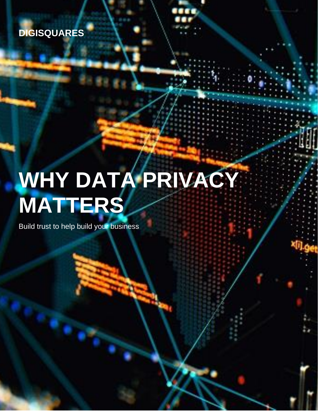

# **WHY DATA PRIVACY MATTERS**

Build trust to help build your business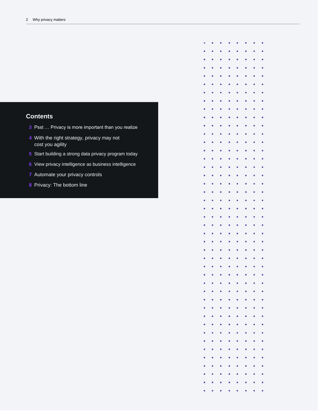### **Contents**

- Psst … Privacy is more important than you realize
- With the right strategy, privacy may not cost you agility
- Start building a strong data privacy program today
- View privacy intelligence as business intelligence
- Automate your privacy controls
- Privacy: The bottom line

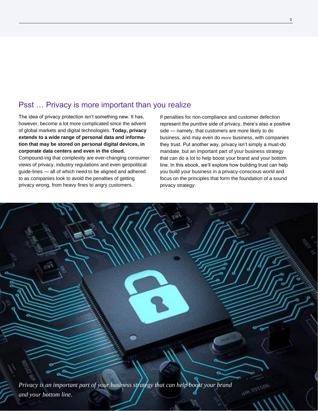## Psst … Privacy is more important than you realize

The idea of privacy protection isn't something new. It has, however, become a lot more complicated since the advent of global markets and digital technologies. **Today, privacy extends to a wide range of personal data and information that may be stored on personal digital devices, in corporate data centers and even in the cloud.**

Compound-ing that complexity are ever-changing consumer views of privacy, industry regulations and even geopolitical guide-lines — all of which need to be aligned and adhered to as companies look to avoid the penalties of getting privacy wrong, from heavy fines to angry customers.

If penalties for non-compliance and customer defection represent the punitive side of privacy, there's also a positive side — namely, that customers are more likely to do business, and may even do *more* business, with companies they trust. Put another way, privacy isn't simply a must-do mandate, but an important part of your business strategy that can do a lot to help boost your brand and your bottom line. In this ebook, we'll explore how building trust can help you build your business in a privacy-conscious world and focus on the principles that form the foundation of a sound privacy strategy.

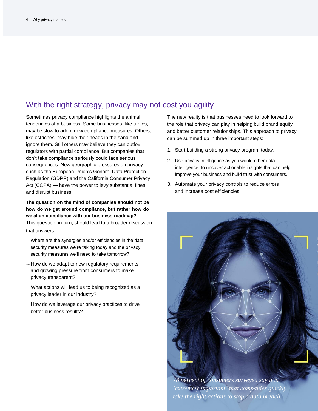## With the right strategy, privacy may not cost you agility

Sometimes privacy compliance highlights the animal tendencies of a business. Some businesses, like turtles, may be slow to adopt new compliance measures. Others, like ostriches, may hide their heads in the sand and ignore them. Still others may believe they can outfox regulators with partial compliance. But companies that don't take compliance seriously could face serious consequences. New geographic pressures on privacy such as the European Union's General Data Protection Regulation (GDPR) and the California Consumer Privacy Act (CCPA) — have the power to levy substantial fines and disrupt business.

**The question on the mind of companies should not be how do we get around compliance, but rather how do we align compliance with our business roadmap?** This question, in turn, should lead to a broader discussion that answers:

- –– Where are the synergies and/or efficiencies in the data security measures we're taking today and the privacy security measures we'll need to take tomorrow?
- $-$  How do we adapt to new regulatory requirements and growing pressure from consumers to make privacy transparent?
- –– What actions will lead us to being recognized as a privacy leader in our industry?
- –– How do we leverage our privacy practices to drive better business results?

The new reality is that businesses need to look forward to the role that privacy can play in helping build brand equity and better customer relationships. This approach to privacy can be summed up in three important steps:

- 1. Start building a strong privacy program today.
- 2. Use privacy intelligence as you would other data intelligence: to uncover actionable insights that can help improve your business and build trust with consumers.
- 3. Automate your privacy controls to reduce errors and increase cost efficiencies.

*78 percent of consumers surveyed say it is 'extremely important' that companies quickly take the right actions to stop a data breach.*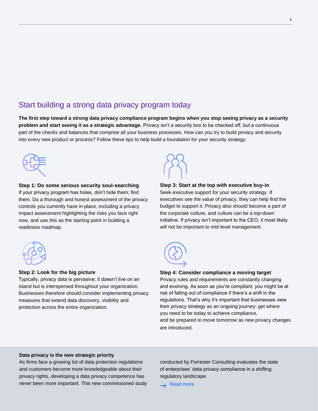# Start building a strong data privacy program today

**The first step toward a strong data privacy compliance program begins when you stop seeing privacy as a security problem and start seeing it as a strategic advantage.** Privacy isn't a security box to be checked off, but a continuous part of the checks and balances that comprise all your business processes. How can you try to build privacy and security into every new product or process? Follow these tips to help build a foundation for your security strategy:



**Step 1: Do some serious security soul-searching** If your privacy program has holes, don't hide them; find them. Do a thorough and honest assessment of the privacy controls you currently have in place, including a privacy impact assessment highlighting the risks you face right now, and use this as the starting point in building a readiness roadmap.



#### **Step 2: Look for the big picture**

Typically, privacy data is pervasive; it doesn't live on an island but is interspersed throughout your organization. Businesses therefore should consider implementing privacy measures that extend data discovery, visibility and protection across the entire organization.



#### **Step 3: Start at the top with executive buy-in**

Seek executive support for your security strategy. If executives see the value of privacy, they can help find the budget to support it. Privacy also should become a part of the corporate culture, and culture can be a top-down initiative. If privacy isn't important to the CEO, it most likely will not be important to mid-level management.



#### **Step 4: Consider compliance a moving target**

Privacy rules and requirements are constantly changing and evolving. As soon as you're compliant, you might be at risk of falling out of compliance if there's a shift in the regulations. That's why it's important that businesses view their privacy strategy as an ongoing journey: get where you need to be today to achieve compliance, and be prepared to move tomorrow as new privacy changes are introduced.

#### **Data privacy is the new strategic priority**

As firms face a growing list of data protection regulations and customers become more knowledgeable about their privacy rights, developing a data privacy competence has never been more important. This new commissioned study conducted by Forrester Consulting evaluates the state of enterprises' data privacy compliance in a shifting regulatory landscape.

 $\rightarrow$  Read more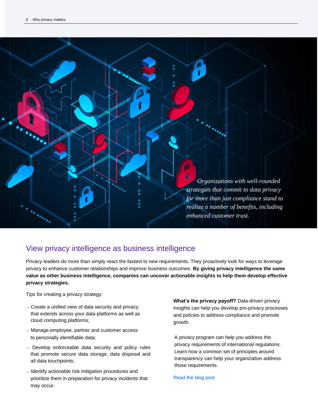

# View privacy intelligence as business intelligence

Privacy leaders do more than simply react the fastest to new requirements. They proactively look for ways to leverage privacy to enhance customer relationships and improve business outcomes. **By giving privacy intelligence the same value as other business intelligence, companies can uncover actionable insights to help them develop effective privacy strategies.**

Tips for creating a privacy strategy:

- –– Create a unified view of data security and privacy that extends across your data platforms as well as cloud computing platforms;
- –– Manage employee, partner and customer access to personally identifiable data;
- –– Develop enforceable data security and policy rules that promote secure data storage, data disposal and all data touchpoints;
- –– Identify actionable risk mitigation procedures and prioritize them in preparation for privacy incidents that may occur.

**What's the privacy payoff?** Data-driven privacy insights can help you develop pro-privacy processes and policies to address compliance and promote growth.

A privacy program can help you address the privacy requirements of international regulations. Learn how a common set of principles around transparency can help your organization address those requirements.

#### [Read the blog post](https://securityintelligence.com/preparing-for-the-ccpa-leverage-gdpr-investments-to-accelerate-readiness/)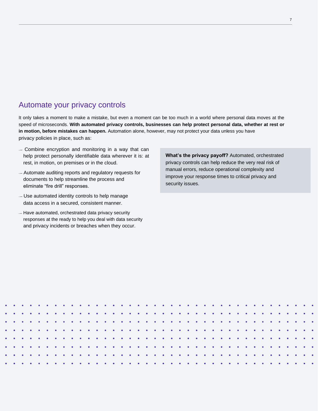## Automate your privacy controls

It only takes a moment to make a mistake, but even a moment can be too much in a world where personal data moves at the speed of microseconds. **With automated privacy controls, businesses can help protect personal data, whether at rest or in motion, before mistakes can happen.** Automation alone, however, may not protect your data unless you have privacy policies in place, such as:

- –– Combine encryption and monitoring in a way that can help protect personally identifiable data wherever it is: at rest, in motion, on premises or in the cloud.
- –– Automate auditing reports and regulatory requests for documents to help streamline the process and eliminate "fire drill" responses.
- –– Use automated identity controls to help manage data access in a secured, consistent manner.
- –– Have automated, orchestrated data privacy security responses at the ready to help you deal with data security and privacy incidents or breaches when they occur.

**What's the privacy payoff?** Automated, orchestrated privacy controls can help reduce the very real risk of manual errors, reduce operational complexity and improve your response times to critical privacy and security issues.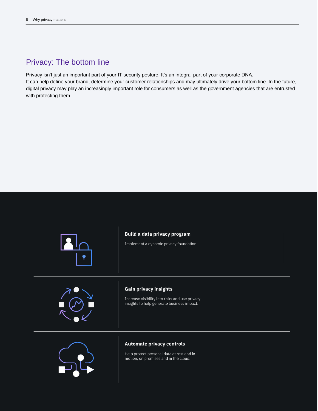# Privacy: The bottom line

Privacy isn't just an important part of your IT security posture. It's an integral part of your corporate DNA. It can help define your brand, determine your customer relationships and may ultimately drive your bottom line. In the future, digital privacy may play an increasingly important role for consumers as well as the government agencies that are entrusted with protecting them.